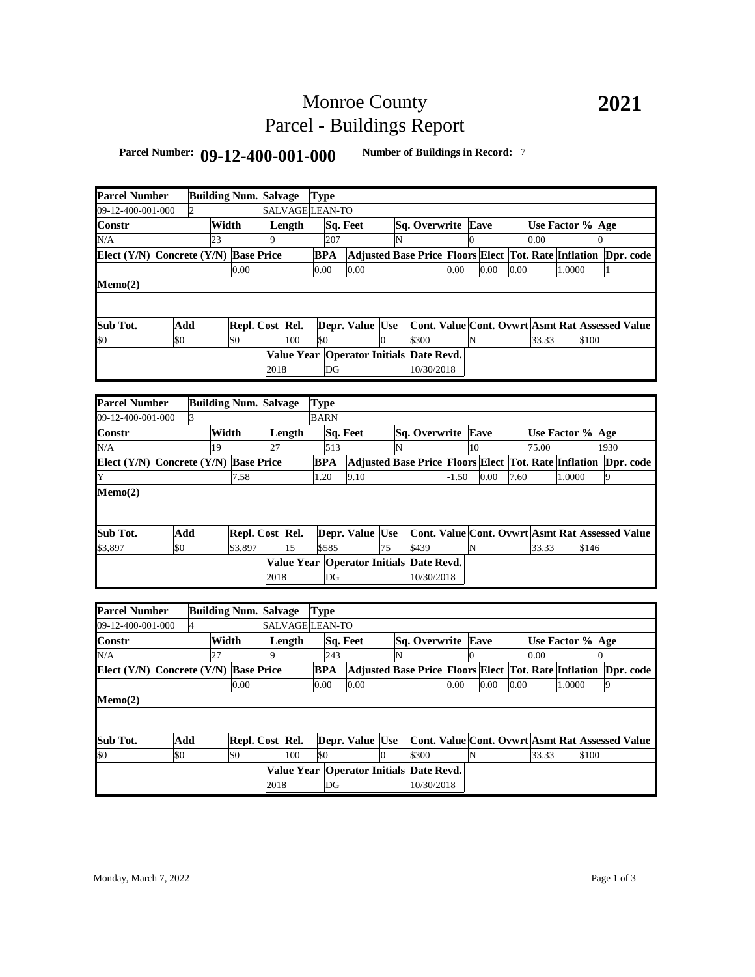## Monroe County Parcel - Buildings Report

### **Parcel Number: 09-12-400-001-000 Number of Buildings in Record:** <sup>7</sup>

| <b>Parcel Number</b>                  |     |                | <b>Building Num. Salvage</b> |      |        | <b>Type</b>     |                                         |          |                                                                |         |          |      |      |                  |        |          |      |           |
|---------------------------------------|-----|----------------|------------------------------|------|--------|-----------------|-----------------------------------------|----------|----------------------------------------------------------------|---------|----------|------|------|------------------|--------|----------|------|-----------|
| 09-12-400-001-000                     |     | $\overline{2}$ |                              |      |        | SALVAGE LEAN-TO |                                         |          |                                                                |         |          |      |      |                  |        |          |      |           |
| Constr                                |     |                | Width                        |      | Length |                 | Sq. Feet                                |          | Sq. Overwrite                                                  |         |          | Eave |      | Use Factor % Age |        |          |      |           |
| N/A                                   |     | 23             |                              |      |        | 207             |                                         |          |                                                                |         | $\Omega$ |      |      | 0.00             |        | $\Omega$ |      |           |
| Elect (Y/N) Concrete (Y/N) Base Price |     |                |                              |      |        | <b>BPA</b>      |                                         |          | Adjusted Base Price Floors Elect Tot. Rate Inflation Dpr. code |         |          |      |      |                  |        |          |      |           |
|                                       |     |                | 0.00                         |      |        | 0.00            | 0.00                                    |          |                                                                | 0.00    |          | 0.00 | 0.00 |                  | 1.0000 |          | 1    |           |
| Memo(2)                               |     |                |                              |      |        |                 |                                         |          |                                                                |         |          |      |      |                  |        |          |      |           |
|                                       |     |                |                              |      |        |                 |                                         |          |                                                                |         |          |      |      |                  |        |          |      |           |
|                                       |     |                |                              |      |        |                 |                                         |          |                                                                |         |          |      |      |                  |        |          |      |           |
| Sub Tot.                              | Add |                | Repl. Cost Rel.              |      |        |                 | Depr. Value Use                         |          | Cont. Value Cont. Ovwrt Asmt Rat Assessed Value                |         |          |      |      |                  |        |          |      |           |
| \$0                                   | \$0 |                | \$0                          |      | 100    | \$0             |                                         | $\Omega$ | \$300                                                          |         | N        |      |      | 33.33            |        | \$100    |      |           |
|                                       |     |                |                              |      |        |                 | Value Year Operator Initials Date Revd. |          |                                                                |         |          |      |      |                  |        |          |      |           |
|                                       |     |                |                              | 2018 |        | DG              |                                         |          | 10/30/2018                                                     |         |          |      |      |                  |        |          |      |           |
|                                       |     |                |                              |      |        |                 |                                         |          |                                                                |         |          |      |      |                  |        |          |      |           |
| <b>Parcel Number</b>                  |     |                | <b>Building Num. Salvage</b> |      |        | <b>Type</b>     |                                         |          |                                                                |         |          |      |      |                  |        |          |      |           |
| 09-12-400-001-000                     |     | 3              |                              |      |        | <b>BARN</b>     |                                         |          |                                                                |         |          |      |      |                  |        |          |      |           |
| Constr                                |     |                | Width                        |      | Length |                 | Sq. Feet                                |          | Sq. Overwrite                                                  |         |          | Eave |      | Use Factor % Age |        |          |      |           |
| N/A                                   |     | 19             |                              | 27   |        | 513             |                                         | N        |                                                                |         | 10       |      |      | 75.00            |        |          | 1930 |           |
| Elect (Y/N) Concrete (Y/N) Base Price |     |                |                              |      |        | <b>BPA</b>      |                                         |          | Adjusted Base Price Floors Elect Tot. Rate Inflation Dpr. code |         |          |      |      |                  |        |          |      |           |
|                                       |     |                | 7.58                         |      |        | 1.20            | 9.10                                    |          |                                                                | $-1.50$ |          | 0.00 | 7.60 |                  | 1.0000 |          | 9    |           |
| Memo(2)                               |     |                |                              |      |        |                 |                                         |          |                                                                |         |          |      |      |                  |        |          |      |           |
|                                       |     |                |                              |      |        |                 |                                         |          |                                                                |         |          |      |      |                  |        |          |      |           |
|                                       |     |                |                              |      |        |                 |                                         |          |                                                                |         |          |      |      |                  |        |          |      |           |
| Sub Tot.                              | Add |                | Repl. Cost Rel.              |      |        |                 | Depr. Value Use                         |          | Cont. Value Cont. Ovwrt Asmt Rat Assessed Value                |         |          |      |      |                  |        |          |      |           |
| \$3,897                               | \$0 |                | \$3,897                      |      | 15     | \$585           |                                         | 75       | \$439                                                          |         | N        |      |      | 33.33            |        | \$146    |      |           |
|                                       |     |                |                              |      |        |                 | Value Year Operator Initials Date Revd. |          |                                                                |         |          |      |      |                  |        |          |      |           |
|                                       |     |                |                              | 2018 |        | DG              |                                         |          | 10/30/2018                                                     |         |          |      |      |                  |        |          |      |           |
|                                       |     |                |                              |      |        |                 |                                         |          |                                                                |         |          |      |      |                  |        |          |      |           |
| <b>Parcel Number</b>                  |     |                | <b>Building Num. Salvage</b> |      |        | <b>Type</b>     |                                         |          |                                                                |         |          |      |      |                  |        |          |      |           |
| 09-12-400-001-000                     |     | $\overline{4}$ |                              |      |        | SALVAGE LEAN-TO |                                         |          |                                                                |         |          |      |      |                  |        |          |      |           |
| Constr                                |     |                | Width                        |      | Length |                 | Sq. Feet                                |          | Sq. Overwrite Eave                                             |         |          |      |      | Use Factor % Age |        |          |      |           |
| N/A                                   |     | 27             |                              |      |        | 243             |                                         | N        |                                                                |         | $\Omega$ |      |      | 0.00             |        |          |      |           |
| Elect $(Y/N)$ Concrete $(Y/N)$        |     |                | <b>Base Price</b>            |      |        | <b>BPA</b>      |                                         |          | <b>Adjusted Base Price Floors Elect Tot. Rate Inflation</b>    |         |          |      |      |                  |        |          |      | Dpr. code |
|                                       |     |                | 0.00                         |      |        | 0.00            | 0.00                                    |          |                                                                | 0.00    |          | 0.00 | 0.00 |                  | 1.0000 |          | 9    |           |
| Memo(2)                               |     |                |                              |      |        |                 |                                         |          |                                                                |         |          |      |      |                  |        |          |      |           |
|                                       |     |                |                              |      |        |                 |                                         |          |                                                                |         |          |      |      |                  |        |          |      |           |
|                                       |     |                |                              |      |        |                 |                                         |          |                                                                |         |          |      |      |                  |        |          |      |           |
| Sub Tot.                              | Add |                | Repl. Cost Rel.              |      |        |                 | Depr. Value Use                         |          | <b>Cont. Value Cont. Ovwrt Asmt Rat Assessed Value</b>         |         |          |      |      |                  |        |          |      |           |
| \$0                                   | \$0 |                | \$0                          |      | 100    | \$0             |                                         | $\Omega$ | \$300                                                          |         | N        |      |      | 33.33            |        | \$100    |      |           |
|                                       |     |                |                              |      |        |                 | Value Year Operator Initials Date Revd. |          |                                                                |         |          |      |      |                  |        |          |      |           |
|                                       |     |                |                              | 2018 |        | DG              |                                         |          | 10/30/2018                                                     |         |          |      |      |                  |        |          |      |           |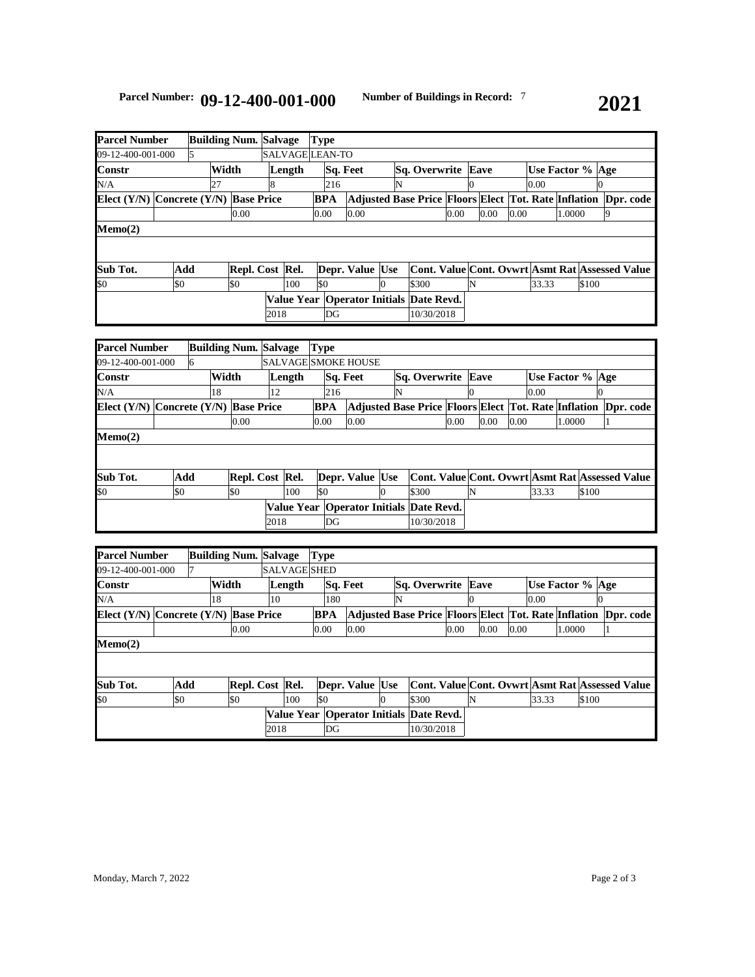| <b>Parcel Number</b>                      |           |   |    | <b>Building Num. Salvage</b> |        |                 | <b>Type</b>     |     |                                             |                           |                                                                |      |  |      |                  |       |        |       |  |  |
|-------------------------------------------|-----------|---|----|------------------------------|--------|-----------------|-----------------|-----|---------------------------------------------|---------------------------|----------------------------------------------------------------|------|--|------|------------------|-------|--------|-------|--|--|
| 09-12-400-001-000                         |           | 5 |    |                              |        | SALVAGE LEAN-TO |                 |     |                                             |                           |                                                                |      |  |      |                  |       |        |       |  |  |
| <b>Constr</b>                             | Width     |   |    |                              | Length |                 | <b>Sq. Feet</b> |     |                                             | <b>Sq. Overwrite Eave</b> |                                                                |      |  |      | Use Factor % Age |       |        |       |  |  |
| N/A                                       |           |   | 27 |                              |        |                 |                 | 216 |                                             |                           |                                                                |      |  |      |                  | 0.00  |        |       |  |  |
| Elect $(Y/N)$ Concrete $(Y/N)$ Base Price |           |   |    |                              |        |                 | <b>BPA</b>      |     |                                             |                           | Adjusted Base Price Floors Elect Tot. Rate Inflation Dpr. code |      |  |      |                  |       |        |       |  |  |
|                                           |           |   |    | 0.00                         |        |                 | 0.00            |     | 0.00                                        |                           |                                                                | 0.00 |  | 0.00 | 0.00             |       | 1.0000 |       |  |  |
| $\mathbf{Memo}(2)$                        |           |   |    |                              |        |                 |                 |     |                                             |                           |                                                                |      |  |      |                  |       |        |       |  |  |
|                                           |           |   |    |                              |        |                 |                 |     |                                             |                           |                                                                |      |  |      |                  |       |        |       |  |  |
|                                           |           |   |    |                              |        |                 |                 |     |                                             |                           |                                                                |      |  |      |                  |       |        |       |  |  |
| Sub Tot.                                  | Add       |   |    | Repl. Cost Rel.              |        |                 |                 |     | Depr. Value Use                             |                           | Cont. Value Cont. Ovwrt Asmt Rat Assessed Value                |      |  |      |                  |       |        |       |  |  |
| \$0                                       | <b>SO</b> |   |    | \$0                          |        | 100             | \$0             |     |                                             |                           | \$300                                                          |      |  |      |                  | 33.33 |        | \$100 |  |  |
|                                           |           |   |    |                              |        |                 |                 |     | Value Year   Operator Initials   Date Revd. |                           |                                                                |      |  |      |                  |       |        |       |  |  |
|                                           |           |   |    |                              | 2018   |                 |                 | DG  |                                             |                           | 10/30/2018                                                     |      |  |      |                  |       |        |       |  |  |

| <b>Parcel Number</b>                      |           |   |       | <b>Building Num. Salvage</b> |      |                 | <b>Type</b> |                     |   |                                             |                           |      |                    |       |        |       |                                                                |
|-------------------------------------------|-----------|---|-------|------------------------------|------|-----------------|-------------|---------------------|---|---------------------------------------------|---------------------------|------|--------------------|-------|--------|-------|----------------------------------------------------------------|
| 09-12-400-001-000                         |           | 6 |       |                              |      |                 |             | SALVAGE SMOKE HOUSE |   |                                             |                           |      |                    |       |        |       |                                                                |
| Constr                                    |           |   | Width |                              |      | Length          |             | Sq. Feet            |   |                                             | <b>Sq. Overwrite Eave</b> |      | Use Factor %   Age |       |        |       |                                                                |
| N/A                                       |           |   | 18    |                              | 12   |                 | 216         |                     | N |                                             |                           |      |                    | 0.00  |        |       |                                                                |
| Elect $(Y/N)$ Concrete $(Y/N)$ Base Price |           |   |       |                              |      |                 | <b>BPA</b>  |                     |   |                                             |                           |      |                    |       |        |       | Adjusted Base Price Floors Elect Tot. Rate Inflation Dpr. code |
|                                           |           |   |       | 0.00                         |      |                 | 0.00        | 0.00                |   |                                             | 0.00                      | 0.00 | 0.00               |       | 1.0000 |       |                                                                |
| Memo(2)                                   |           |   |       |                              |      |                 |             |                     |   |                                             |                           |      |                    |       |        |       |                                                                |
|                                           |           |   |       |                              |      |                 |             |                     |   |                                             |                           |      |                    |       |        |       |                                                                |
|                                           |           |   |       |                              |      |                 |             |                     |   |                                             |                           |      |                    |       |        |       |                                                                |
| Sub Tot.                                  | Add       |   |       |                              |      | Repl. Cost Rel. |             | Depr. Value Use     |   |                                             |                           |      |                    |       |        |       | Cont. Value Cont. Ovwrt Asmt Rat Assessed Value                |
| \$0                                       | <b>SO</b> |   |       | ISO                          |      | 100             | \$0         |                     |   | \$300                                       |                           | N    |                    | 33.33 |        | \$100 |                                                                |
|                                           |           |   |       |                              |      |                 |             |                     |   | Value Year   Operator Initials   Date Revd. |                           |      |                    |       |        |       |                                                                |
|                                           |           |   |       |                              | 2018 |                 | DG          |                     |   | 10/30/2018                                  |                           |      |                    |       |        |       |                                                                |

| <b>Parcel Number</b> |    |     |                            |     |                                                                                                                |  |                                                                 |      |                      |  |                                                                   |   |                                   |       |              |  |        |                                                                                                                                             |
|----------------------|----|-----|----------------------------|-----|----------------------------------------------------------------------------------------------------------------|--|-----------------------------------------------------------------|------|----------------------|--|-------------------------------------------------------------------|---|-----------------------------------|-------|--------------|--|--------|---------------------------------------------------------------------------------------------------------------------------------------------|
| 09-12-400-001-000    |    |     |                            |     |                                                                                                                |  |                                                                 |      |                      |  |                                                                   |   |                                   |       |              |  |        |                                                                                                                                             |
|                      |    |     |                            |     | Sq. Feet                                                                                                       |  |                                                                 |      |                      |  |                                                                   |   |                                   |       |              |  |        |                                                                                                                                             |
|                      | 18 |     | 10                         |     |                                                                                                                |  |                                                                 | ΙN   |                      |  |                                                                   |   |                                   |       |              |  |        |                                                                                                                                             |
|                      |    |     |                            |     |                                                                                                                |  |                                                                 |      |                      |  |                                                                   |   |                                   |       |              |  |        | Dor. code                                                                                                                                   |
|                      |    |     |                            |     |                                                                                                                |  |                                                                 |      |                      |  |                                                                   |   |                                   |       |              |  |        |                                                                                                                                             |
|                      |    |     |                            |     |                                                                                                                |  |                                                                 |      |                      |  |                                                                   |   |                                   |       |              |  |        |                                                                                                                                             |
|                      |    |     |                            |     |                                                                                                                |  |                                                                 |      |                      |  |                                                                   |   |                                   |       |              |  |        |                                                                                                                                             |
|                      |    |     |                            |     |                                                                                                                |  |                                                                 |      |                      |  |                                                                   |   |                                   |       |              |  |        |                                                                                                                                             |
| \$0                  |    |     |                            | 100 |                                                                                                                |  |                                                                 |      | \$300                |  |                                                                   |   |                                   | 33.33 |              |  |        |                                                                                                                                             |
|                      |    |     |                            |     |                                                                                                                |  |                                                                 |      |                      |  |                                                                   |   |                                   |       |              |  |        |                                                                                                                                             |
|                      |    |     |                            |     |                                                                                                                |  |                                                                 |      |                      |  |                                                                   |   |                                   |       |              |  |        |                                                                                                                                             |
|                      |    | Add | Width<br>0.00<br><b>SO</b> |     | <b>Building Num. Salvage</b><br>Length<br>Elect $(Y/N)$ Concrete $(Y/N)$ Base Price<br>Repl. Cost Rel.<br>2018 |  | Type<br><b>SALVAGE SHED</b><br>180<br>BPA<br>0.00<br>I\$0<br>DG | 0.00 | Depr. Value Use<br>Ю |  | 0.00<br>Value Year   Operator Initials   Date Revd.<br>10/30/2018 | 0 | <b>Sq. Overwrite Eave</b><br>0.00 |       | 0.00<br>0.00 |  | 1.0000 | Use Factor % Age<br><b>Adjusted Base Price Floors Elect Tot. Rate Inflation</b><br>Cont. Value Cont. Ovwrt Asmt Rat Assessed Value<br>\$100 |

# **2021**